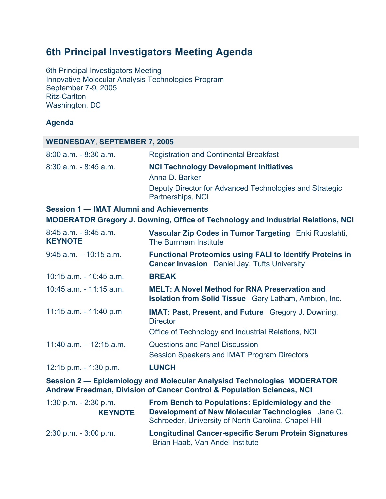# **6th Principal Investigators Meeting Agenda**

6th Principal Investigators Meeting Innovative Molecular Analysis Technologies Program September 7-9, 2005 Ritz-Carlton Washington, DC

### **Agenda**

#### **WEDNESDAY, SEPTEMBER 7, 2005**

| $8:00$ a.m. $-8:30$ a.m. | <b>Registration and Continental Breakfast</b>                                |
|--------------------------|------------------------------------------------------------------------------|
| $8:30$ a.m. $-8:45$ a.m. | <b>NCI Technology Development Initiatives</b>                                |
|                          | Anna D. Barker                                                               |
|                          | Deputy Director for Advanced Technologies and Strategic<br>Partnerships, NCI |

#### **Session 1 — IMAT Alumni and Achievements**

**MODERATOR Gregory J. Downing, Office of Technology and Industrial Relations, NCI**

| $8:45$ a.m. $-9:45$ a.m.<br><b>KEYNOTE</b> | Vascular Zip Codes in Tumor Targeting Errki Ruoslahti,<br>The Burnham Institute                                        |
|--------------------------------------------|------------------------------------------------------------------------------------------------------------------------|
| $9:45$ a.m. $-10:15$ a.m.                  | <b>Functional Proteomics using FALI to Identify Proteins in</b><br><b>Cancer Invasion</b> Daniel Jay, Tufts University |
| $10:15$ a.m. - $10:45$ a.m.                | <b>BREAK</b>                                                                                                           |
| $10:45$ a.m. $-11:15$ a.m.                 | <b>MELT: A Novel Method for RNA Preservation and</b><br><b>Isolation from Solid Tissue</b> Gary Latham, Ambion, Inc.   |
| 11:15 $a.m. - 11:40$ p.m                   | <b>IMAT: Past, Present, and Future</b> Gregory J. Downing,<br><b>Director</b>                                          |
|                                            | Office of Technology and Industrial Relations, NCI                                                                     |
| $11:40$ a.m. $-12:15$ a.m.                 | <b>Questions and Panel Discussion</b>                                                                                  |
|                                            | Session Speakers and IMAT Program Directors                                                                            |
| 12:15 p.m. $-1:30$ p.m.                    | <b>LUNCH</b>                                                                                                           |

**Session 2 — Epidemiology and Molecular Analysisd Technologies MODERATOR Andrew Freedman, Division of Cancer Control & Population Sciences, NCI**

| $1:30$ p.m. $-2:30$ p.m. | From Bench to Populations: Epidemiology and the                                                           |
|--------------------------|-----------------------------------------------------------------------------------------------------------|
| <b>KEYNOTE</b>           | Development of New Molecular Technologies Jane C.<br>Schroeder, University of North Carolina, Chapel Hill |
| $2:30$ p.m. $-3:00$ p.m. | <b>Longitudinal Cancer-specific Serum Protein Signatures</b><br>Brian Haab, Van Andel Institute           |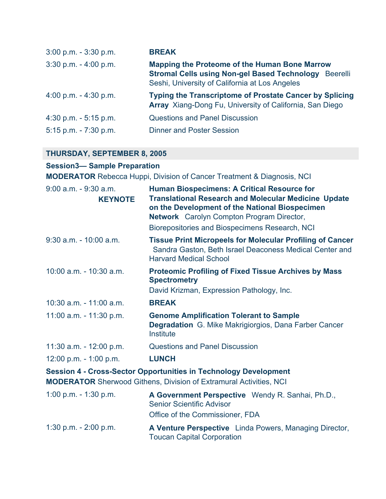| $3:00$ p.m. $-3:30$ p.m. | <b>BREAK</b>                                                                                                                                                           |
|--------------------------|------------------------------------------------------------------------------------------------------------------------------------------------------------------------|
| $3:30$ p.m. $-4:00$ p.m. | <b>Mapping the Proteome of the Human Bone Marrow</b><br><b>Stromal Cells using Non-gel Based Technology</b> Beerelli<br>Seshi, University of California at Los Angeles |
| 4:00 p.m. $-$ 4:30 p.m.  | <b>Typing the Transcriptome of Prostate Cancer by Splicing</b><br>Array Xiang-Dong Fu, University of California, San Diego                                             |
| $4:30$ p.m. $-5:15$ p.m. | <b>Questions and Panel Discussion</b>                                                                                                                                  |
| $5:15$ p.m. $-7:30$ p.m. | <b>Dinner and Poster Session</b>                                                                                                                                       |

## **THURSDAY, SEPTEMBER 8, 2005**

### **Session3— Sample Preparation**

**MODERATOR** Rebecca Huppi, Division of Cancer Treatment & Diagnosis, NCI

| $9:00$ a.m. $-9:30$ a.m.<br><b>KEYNOTE</b>                                                                                                           | <b>Human Biospecimens: A Critical Resource for</b><br><b>Translational Research and Molecular Medicine Update</b><br>on the Development of the National Biospecimen<br><b>Network</b> Carolyn Compton Program Director,<br>Biorepositories and Biospecimens Research, NCI |
|------------------------------------------------------------------------------------------------------------------------------------------------------|---------------------------------------------------------------------------------------------------------------------------------------------------------------------------------------------------------------------------------------------------------------------------|
| $9:30$ a.m. - 10:00 a.m.                                                                                                                             | <b>Tissue Print Micropeels for Molecular Profiling of Cancer</b><br>Sandra Gaston, Beth Israel Deaconess Medical Center and<br><b>Harvard Medical School</b>                                                                                                              |
| 10:00 a.m. - 10:30 a.m.                                                                                                                              | <b>Proteomic Profiling of Fixed Tissue Archives by Mass</b><br><b>Spectrometry</b><br>David Krizman, Expression Pathology, Inc.                                                                                                                                           |
| $10:30$ a.m. $-11:00$ a.m.                                                                                                                           | <b>BREAK</b>                                                                                                                                                                                                                                                              |
| 11:00 a.m. - 11:30 p.m.                                                                                                                              | <b>Genome Amplification Tolerant to Sample</b><br><b>Degradation</b> G. Mike Makrigiorgios, Dana Farber Cancer<br>Institute                                                                                                                                               |
| 11:30 a.m. - 12:00 p.m.                                                                                                                              | <b>Questions and Panel Discussion</b>                                                                                                                                                                                                                                     |
| $12:00$ p.m. $-1:00$ p.m.                                                                                                                            | <b>LUNCH</b>                                                                                                                                                                                                                                                              |
| <b>Session 4 - Cross-Sector Opportunities in Technology Development</b><br><b>MODERATOR</b> Sherwood Githens, Division of Extramural Activities, NCI |                                                                                                                                                                                                                                                                           |
| 1:00 p.m. $-$ 1:30 p.m.                                                                                                                              | A Government Perspective Wendy R. Sanhai, Ph.D.,<br><b>Senior Scientific Advisor</b><br>Office of the Commissioner, FDA                                                                                                                                                   |
| 1:30 p.m. $- 2:00$ p.m.                                                                                                                              | A Venture Perspective Linda Powers, Managing Director,<br><b>Toucan Capital Corporation</b>                                                                                                                                                                               |